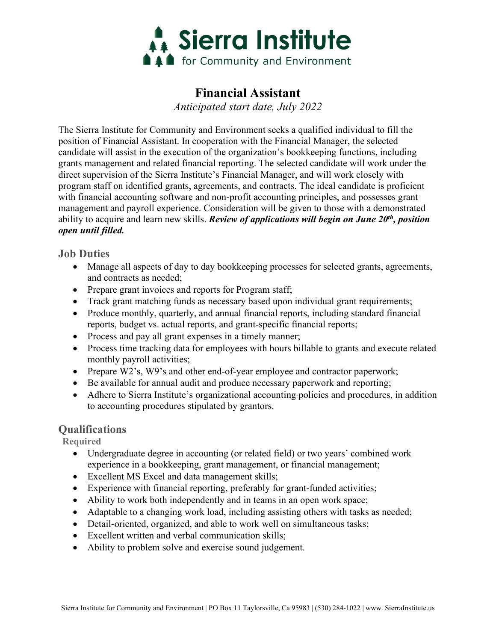

# **Financial Assistant**

*Anticipated start date, July 2022*

The Sierra Institute for Community and Environment seeks a qualified individual to fill the position of Financial Assistant. In cooperation with the Financial Manager, the selected candidate will assist in the execution of the organization's bookkeeping functions, including grants management and related financial reporting. The selected candidate will work under the direct supervision of the Sierra Institute's Financial Manager, and will work closely with program staff on identified grants, agreements, and contracts. The ideal candidate is proficient with financial accounting software and non-profit accounting principles, and possesses grant management and payroll experience. Consideration will be given to those with a demonstrated ability to acquire and learn new skills. *Review of applications will begin on June 20th, position open until filled.*

### **Job Duties**

- Manage all aspects of day to day bookkeeping processes for selected grants, agreements, and contracts as needed;
- Prepare grant invoices and reports for Program staff;
- Track grant matching funds as necessary based upon individual grant requirements;
- Produce monthly, quarterly, and annual financial reports, including standard financial reports, budget vs. actual reports, and grant-specific financial reports;
- Process and pay all grant expenses in a timely manner;
- Process time tracking data for employees with hours billable to grants and execute related monthly payroll activities;
- Prepare W2's, W9's and other end-of-year employee and contractor paperwork;
- Be available for annual audit and produce necessary paperwork and reporting;
- Adhere to Sierra Institute's organizational accounting policies and procedures, in addition to accounting procedures stipulated by grantors.

# **Qualifications**

**Required**

- Undergraduate degree in accounting (or related field) or two years' combined work experience in a bookkeeping, grant management, or financial management;
- Excellent MS Excel and data management skills;
- Experience with financial reporting, preferably for grant-funded activities;
- Ability to work both independently and in teams in an open work space;
- Adaptable to a changing work load, including assisting others with tasks as needed;
- Detail-oriented, organized, and able to work well on simultaneous tasks;
- Excellent written and verbal communication skills;
- Ability to problem solve and exercise sound judgement.